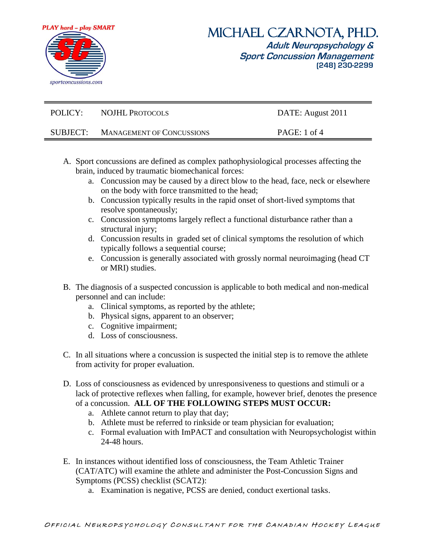

| POLICY:  | <b>NOJHL PROTOCOLS</b>           | DATE: August 2011 |
|----------|----------------------------------|-------------------|
| SUBJECT: | <b>MANAGEMENT OF CONCUSSIONS</b> | PAGE: $1$ of $4$  |

- A. Sport concussions are defined as complex pathophysiological processes affecting the brain, induced by traumatic biomechanical forces:
	- a. Concussion may be caused by a direct blow to the head, face, neck or elsewhere on the body with force transmitted to the head;
	- b. Concussion typically results in the rapid onset of short-lived symptoms that resolve spontaneously;
	- c. Concussion symptoms largely reflect a functional disturbance rather than a structural injury;
	- d. Concussion results in graded set of clinical symptoms the resolution of which typically follows a sequential course;
	- e. Concussion is generally associated with grossly normal neuroimaging (head CT or MRI) studies.
- B. The diagnosis of a suspected concussion is applicable to both medical and non-medical personnel and can include:
	- a. Clinical symptoms, as reported by the athlete;
	- b. Physical signs, apparent to an observer;
	- c. Cognitive impairment;
	- d. Loss of consciousness.
- C. In all situations where a concussion is suspected the initial step is to remove the athlete from activity for proper evaluation.
- D. Loss of consciousness as evidenced by unresponsiveness to questions and stimuli or a lack of protective reflexes when falling, for example, however brief, denotes the presence of a concussion. **ALL OF THE FOLLOWING STEPS MUST OCCUR:**
	- a. Athlete cannot return to play that day;
	- b. Athlete must be referred to rinkside or team physician for evaluation;
	- c. Formal evaluation with ImPACT and consultation with Neuropsychologist within 24-48 hours.
- E. In instances without identified loss of consciousness, the Team Athletic Trainer (CAT/ATC) will examine the athlete and administer the Post-Concussion Signs and Symptoms (PCSS) checklist (SCAT2):
	- a. Examination is negative, PCSS are denied, conduct exertional tasks.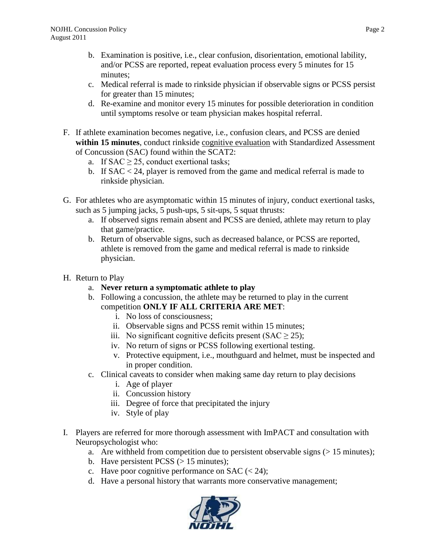- b. Examination is positive, i.e., clear confusion, disorientation, emotional lability, and/or PCSS are reported, repeat evaluation process every 5 minutes for 15 minutes;
- c. Medical referral is made to rinkside physician if observable signs or PCSS persist for greater than 15 minutes;
- d. Re-examine and monitor every 15 minutes for possible deterioration in condition until symptoms resolve or team physician makes hospital referral.
- F. If athlete examination becomes negative, i.e., confusion clears, and PCSS are denied within 15 minutes, conduct rinkside cognitive evaluation with Standardized Assessment of Concussion (SAC) found within the SCAT2:
	- a. If  $SAC \geq 25$ , conduct exertional tasks;
	- b. If SAC < 24, player is removed from the game and medical referral is made to rinkside physician.
- G. For athletes who are asymptomatic within 15 minutes of injury, conduct exertional tasks, such as 5 jumping jacks, 5 push-ups, 5 sit-ups, 5 squat thrusts:
	- a. If observed signs remain absent and PCSS are denied, athlete may return to play that game/practice.
	- b. Return of observable signs, such as decreased balance, or PCSS are reported, athlete is removed from the game and medical referral is made to rinkside physician.
- H. Return to Play
	- a. **Never return a symptomatic athlete to play**
	- b. Following a concussion, the athlete may be returned to play in the current competition **ONLY IF ALL CRITERIA ARE MET**:
		- i. No loss of consciousness;
		- ii. Observable signs and PCSS remit within 15 minutes;
		- iii. No significant cognitive deficits present  $(SAC \ge 25)$ ;
		- iv. No return of signs or PCSS following exertional testing.
		- v. Protective equipment, i.e., mouthguard and helmet, must be inspected and in proper condition.
	- c. Clinical caveats to consider when making same day return to play decisions
		- i. Age of player
		- ii. Concussion history
		- iii. Degree of force that precipitated the injury
		- iv. Style of play
- I. Players are referred for more thorough assessment with ImPACT and consultation with Neuropsychologist who:
	- a. Are withheld from competition due to persistent observable signs  $(> 15 \text{ minutes})$ ;
	- b. Have persistent PCSS  $(> 15 \text{ minutes})$ ;
	- c. Have poor cognitive performance on SAC  $(< 24)$ ;
	- d. Have a personal history that warrants more conservative management;

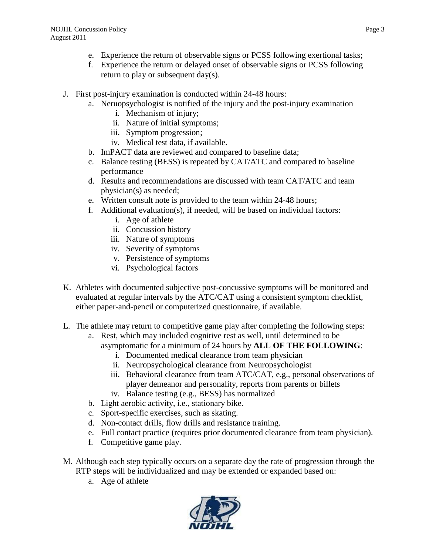- e. Experience the return of observable signs or PCSS following exertional tasks;
- f. Experience the return or delayed onset of observable signs or PCSS following return to play or subsequent day(s).
- J. First post-injury examination is conducted within 24-48 hours:
	- a. Neruopsychologist is notified of the injury and the post-injury examination
		- i. Mechanism of injury;
		- ii. Nature of initial symptoms;
		- iii. Symptom progression;
		- iv. Medical test data, if available.
	- b. ImPACT data are reviewed and compared to baseline data;
	- c. Balance testing (BESS) is repeated by CAT/ATC and compared to baseline performance
	- d. Results and recommendations are discussed with team CAT/ATC and team physician(s) as needed;
	- e. Written consult note is provided to the team within 24-48 hours;
	- f. Additional evaluation(s), if needed, will be based on individual factors:
		- i. Age of athlete
		- ii. Concussion history
		- iii. Nature of symptoms
		- iv. Severity of symptoms
		- v. Persistence of symptoms
		- vi. Psychological factors
- K. Athletes with documented subjective post-concussive symptoms will be monitored and evaluated at regular intervals by the ATC/CAT using a consistent symptom checklist, either paper-and-pencil or computerized questionnaire, if available.
- L. The athlete may return to competitive game play after completing the following steps:
	- a. Rest, which may included cognitive rest as well, until determined to be asymptomatic for a minimum of 24 hours by **ALL OF THE FOLLOWING**:
		- i. Documented medical clearance from team physician
		- ii. Neuropsychological clearance from Neuropsychologist
		- iii. Behavioral clearance from team ATC/CAT, e.g., personal observations of player demeanor and personality, reports from parents or billets
		- iv. Balance testing (e.g., BESS) has normalized
	- b. Light aerobic activity, i.e., stationary bike.
	- c. Sport-specific exercises, such as skating.
	- d. Non-contact drills, flow drills and resistance training.
	- e. Full contact practice (requires prior documented clearance from team physician).
	- f. Competitive game play.
- M. Although each step typically occurs on a separate day the rate of progression through the RTP steps will be individualized and may be extended or expanded based on:
	- a. Age of athlete